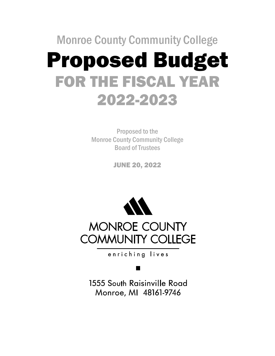# Monroe County Community College Proposed Budget FOR THE FISCAL YEAR 2022-2023

Proposed to the Monroe County Community College Board of Trustees

JUNE 20, 2022



enriching lives

1555 South Raisinville Road Monroe, MI 48161-9746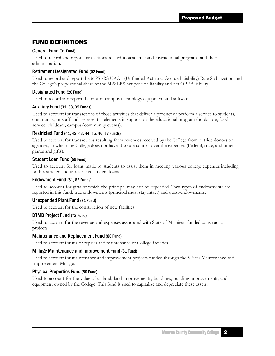#### FUND DEFINITIONS

#### General Fund (01 Fund)

Used to record and report transactions related to academic and instructional programs and their administration.

#### Retirement Designated Fund (02 Fund)

Used to record and report the MPSERS UAAL (Unfunded Actuarial Accrued Liability) Rate Stabilization and the College's proportional share of the MPSERS net pension liability and net OPEB liability.

#### Designated Fund (20 Fund)

Used to record and report the cost of campus technology equipment and software.

#### Auxiliary Fund (31, 33, 35 Funds)

Used to account for transactions of those activities that deliver a product or perform a service to students, community, or staff and are essential elements in support of the educational program (bookstore, food service, childcare, campus/community events).

#### Restricted Fund (41, 42, 43, 44, 45, 46, 47 Funds)

Used to account for transactions resulting from revenues received by the College from outside donors or agencies, in which the College does not have absolute control over the expenses (Federal, state, and other grants and gifts).

#### Student Loan Fund (59 Fund)

Used to account for loans made to students to assist them in meeting various college expenses including both restricted and unrestricted student loans.

#### Endowment Fund (61, 62 Funds)

Used to account for gifts of which the principal may not be expended. Two types of endowments are reported in this fund: true endowments (principal must stay intact) and quasi-endowments.

#### Unexpended Plant Fund (71 Fund)

Used to account for the construction of new facilities.

#### DTMB Project Fund (72 Fund)

Used to account for the revenue and expenses associated with State of Michigan funded construction projects.

#### Maintenance and Replacement Fund (80 Fund)

Used to account for major repairs and maintenance of College facilities.

#### Millage Maintenance and Improvement Fund (81 Fund)

Used to account for maintenance and improvement projects funded through the 5-Year Maintenance and Improvement Millage.

#### Physical Properties Fund (89 Fund)

Used to account for the value of all land, land improvements, buildings, building improvements, and equipment owned by the College. This fund is used to capitalize and depreciate these assets.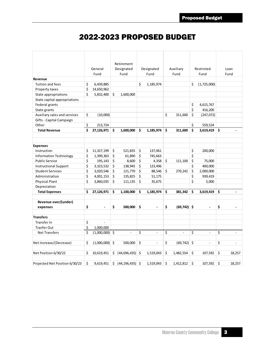## 2022-2023 PROPOSED BUDGET

|                                |    |                  |    | Retirement                            |                         |           |            |                          |      |                |                                |
|--------------------------------|----|------------------|----|---------------------------------------|-------------------------|-----------|------------|--------------------------|------|----------------|--------------------------------|
|                                |    | General          |    | Designated                            | Designated<br>Auxiliary |           | Restricted |                          | Loan |                |                                |
|                                |    | Fund             |    | Fund                                  |                         | Fund      |            | Fund                     |      | Fund           | Fund                           |
| Revenue                        |    |                  |    |                                       |                         |           |            |                          |      |                |                                |
| Tuition and fees               | \$ | 6,439,885        |    |                                       | \$                      | 1,185,974 |            |                          | \$   | (1,725,000)    |                                |
| Property taxes                 | \$ | 14,650,962       |    |                                       |                         |           |            |                          |      |                |                                |
| State appropriations           | Ś  | 5,832,400        | \$ | 1,600,000                             |                         |           |            |                          |      |                |                                |
| State capital appropriations   |    |                  |    |                                       |                         |           |            |                          |      |                |                                |
| Federal grants                 |    |                  |    |                                       |                         |           |            |                          | \$   | 4,615,767      |                                |
| State grants                   |    |                  |    |                                       |                         |           |            |                          | \$   | 416,200        |                                |
| Auxiliary sales and services   | \$ | (10,000)         |    |                                       |                         |           | \$         | 311,600                  | \$   | (247,072)      |                                |
| Gifts - Capital Campaign       |    |                  |    |                                       |                         |           |            |                          |      |                |                                |
| Other                          | \$ | 213,724          |    |                                       |                         |           |            |                          | \$   | 559,524        |                                |
| <b>Total Revenue</b>           | \$ | $27,126,971$ \$  |    | 1,600,000                             | \$                      | 1,185,974 | Ŝ.         | 311,600                  | \$   | 3,619,419      | \$<br>$\overline{\phantom{a}}$ |
|                                |    |                  |    |                                       |                         |           |            |                          |      |                |                                |
|                                |    |                  |    |                                       |                         |           |            |                          |      |                |                                |
| <b>Expenses</b>                |    |                  |    |                                       |                         |           |            |                          |      |                |                                |
| Instruction                    | \$ | 11,327,199       | \$ | 521,835                               | \$                      | 137,061   |            |                          | \$   | 200,000        |                                |
| <b>Information Technology</b>  | \$ | 1,399,363        | \$ | 61,890                                | \$                      | 745,663   |            |                          | \$   |                |                                |
| <b>Public Service</b>          | \$ | 195,143          | \$ | 8,600                                 | \$                      | 4,358     | \$         | 111,100                  | \$   | 75,000         |                                |
| <b>Instructional Support</b>   | \$ | 3,323,532        | \$ | 138,945                               | \$                      | 123,496   |            |                          | \$   | 400,000        |                                |
| <b>Student Services</b>        | \$ | 3,020,546        | \$ | 121,770                               | \$                      | 88,546    | $\zeta$    | 270,242                  | \$   | 2,000,000      |                                |
| Administration                 | \$ | 4,001,153        | \$ | 135,825                               | \$                      | 51,175    |            |                          | \$   | 939,419        |                                |
| <b>Physical Plant</b>          | \$ | 3,860,035        | \$ | 111,135                               | \$                      | 35,675    |            |                          | \$   | 5,000          |                                |
| Depreciation                   |    |                  |    |                                       |                         |           |            |                          |      |                |                                |
| <b>Total Expenses</b>          | \$ | 27,126,971       | \$ | 1,100,000                             | \$                      | 1,185,974 | \$         | 381,342                  | \$   | 3,619,419      | \$                             |
|                                |    |                  |    |                                       |                         |           |            |                          |      |                |                                |
| Revenue over/(under)           |    |                  |    |                                       |                         |           |            |                          |      |                |                                |
| expenses                       | \$ | $\overline{a}$   | \$ | 500,000                               | \$                      |           | \$         | $(69, 742)$ \$           |      |                | \$                             |
|                                |    |                  |    |                                       |                         |           |            |                          |      |                |                                |
| <b>Transfers</b>               |    |                  |    |                                       |                         |           |            |                          |      |                |                                |
| Transfer In                    | \$ | $\overline{a}$   |    |                                       |                         |           |            |                          |      |                |                                |
| <b>Tranfer Out</b>             | \$ | 1,000,000        |    |                                       |                         |           |            |                          |      |                |                                |
| <b>Net Transfers</b>           | \$ | $(1,000,000)$ \$ |    | $\overline{a}$                        | \$                      | $\sim$    | \$         | $\overline{\phantom{a}}$ | \$   | $\overline{a}$ | \$<br>$\overline{\phantom{a}}$ |
|                                |    |                  |    |                                       |                         |           |            |                          |      |                |                                |
| Net Increase/(Decrease)        | \$ | $(1,000,000)$ \$ |    | 500,000                               | \$                      |           | \$         | (69, 742)                | \$   |                | \$                             |
| Net Position 6/30/22           | \$ | 10,619,451       |    | $\sin(44,696,435)$ $\sin(44,696,435)$ |                         | 1,519,043 | \$         | 1,482,554                | \$   | 107,592        | \$<br>18,257                   |
|                                |    |                  |    |                                       |                         |           |            |                          |      |                |                                |
| Projected Net Position 6/30/23 | \$ |                  |    | $9,619,451$ \$ $(44,196,435)$ \$      |                         | 1,519,043 | \$         | 1,412,812                | \$   | 107,592        | \$<br>18,257                   |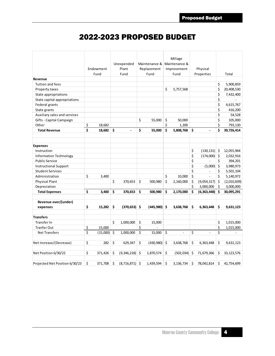## 2022-2023 PROPOSED BUDGET

|                                | Endowment<br>Fund | Unexpended<br>Plant<br>Fund | Maintenance &<br>Replacement<br>Fund |    | Millage<br>Maintenance &<br>Improvement<br>Fund | Physical<br>Properties |     | Total       |
|--------------------------------|-------------------|-----------------------------|--------------------------------------|----|-------------------------------------------------|------------------------|-----|-------------|
| Revenue                        |                   |                             |                                      |    |                                                 |                        |     |             |
| Tuition and fees               |                   |                             |                                      |    |                                                 |                        | \$  | 5,900,859   |
| Property taxes                 |                   |                             |                                      | \$ | 5,757,568                                       |                        | \$  | 20,408,530  |
| State appropriations           |                   |                             |                                      |    |                                                 |                        | \$  | 7,432,400   |
| State capital appropriations   |                   |                             |                                      |    |                                                 |                        | \$  |             |
| Federal grants                 |                   |                             |                                      |    |                                                 |                        | \$  | 4,615,767   |
| State grants                   |                   |                             |                                      |    |                                                 |                        | \$  | 416,200     |
| Auxiliary sales and services   |                   |                             |                                      |    |                                                 |                        | \$  | 54,528      |
| Gifts - Capital Campaign       |                   |                             | \$<br>55,000                         | \$ | 50,000                                          |                        | \$  | 105,000     |
| Other                          | \$<br>18,682      |                             |                                      | \$ | 1,200                                           |                        | \$  | 793,130     |
| <b>Total Revenue</b>           | \$<br>18,682      | \$<br>$\overline{a}$        | \$<br>55,000                         | \$ | 5,808,768                                       | \$<br>$\overline{a}$   | \$  | 39,726,414  |
|                                |                   |                             |                                      |    |                                                 |                        |     |             |
| <b>Expenses</b>                |                   |                             |                                      |    |                                                 |                        |     |             |
| Instruction                    |                   |                             |                                      |    |                                                 | \$<br>$(130, 131)$ \$  |     | 12,055,964  |
| <b>Information Technology</b>  |                   |                             |                                      |    |                                                 | \$<br>$(174,000)$ \$   |     | 2,032,916   |
| <b>Public Service</b>          |                   |                             |                                      |    |                                                 | \$                     | \$  | 394,201     |
| <b>Instructional Support</b>   |                   |                             |                                      |    |                                                 | \$<br>(5,000)          | \$  | 3,980,973   |
| <b>Student Services</b>        |                   |                             |                                      |    |                                                 | \$<br>$\overline{a}$   | \$  | 5,501,104   |
| Administration                 | \$<br>3,400       |                             |                                      | \$ | 10,000                                          | \$<br>$\overline{a}$   | \$  | 5,140,972   |
| <b>Physical Plant</b>          |                   | \$<br>370,653               | \$<br>500,980                        | Ś  | 2,160,000                                       | \$<br>(9,054,317)      | -\$ | (2,010,839) |
| Depreciation                   |                   |                             |                                      |    |                                                 | \$<br>3,000,000        | \$  | 3,000,000   |
| <b>Total Expenses</b>          | \$<br>3,400       | \$<br>370,653               | \$<br>500,980                        | \$ | 2,170,000                                       | \$<br>(6, 363, 448)    | \$  | 30,095,291  |
| Revenue over/(under)           |                   |                             |                                      |    |                                                 |                        |     |             |
| expenses                       | \$<br>15,282      | \$<br>$(370, 653)$ \$       | $(445,980)$ \$                       |    | 3,638,768                                       | \$<br>6,363,448        | \$  | 9,631,123   |
| <b>Transfers</b>               |                   |                             |                                      |    |                                                 |                        |     |             |
| Transfer In                    |                   | \$<br>1,000,000             | \$<br>15,000                         |    |                                                 |                        | \$  | 1,015,000   |
| <b>Tranfer Out</b>             | \$<br>15.000      |                             | \$                                   |    |                                                 |                        | \$  | 1,015,000   |
| <b>Net Transfers</b>           | \$<br>(15,000)    | \$<br>1,000,000             | \$<br>15,000                         | \$ | $\overline{a}$                                  | \$<br>$\overline{a}$   | \$  |             |
|                                |                   |                             |                                      |    |                                                 |                        |     |             |
| Net Increase/(Decrease)        | \$<br>282         | \$<br>629,347               | \$<br>$(430,980)$ \$                 |    | 3,638,768                                       | \$<br>6,363,448        | \$  | 9,631,123   |
| Net Position 6/30/22           | \$<br>371,426     | \$<br>$(9,346,218)$ \$      | 1,870,574                            | \$ | $(502, 034)$ \$                                 | 71,679,366             | \$  | 33,123,576  |
| Projected Net Position 6/30/23 | \$<br>371,708     | \$<br>$(8,716,871)$ \$      | 1,439,594                            | \$ | 3,136,734                                       | \$<br>78,042,814       | \$  | 42,754,699  |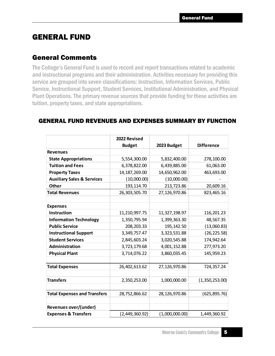### GENERAL FUND

### General Comments

The College's General Fund is used to record and report transactions related to academic and instructional programs and their administration. Activities necessary for providing this service are grouped into seven classifications: Instruction, Information Services, Public Service, Instructional Support, Student Services, Institutional Administration, and Physical Plant Operations. The primary revenue sources that provide funding for these activities are tuition, property taxes, and state appropriations.

|                                       | 2022 Revised    |                |                   |
|---------------------------------------|-----------------|----------------|-------------------|
|                                       | <b>Budget</b>   | 2023 Budget    | <b>Difference</b> |
| <b>Revenues</b>                       |                 |                |                   |
| <b>State Appropriations</b>           | 5,554,300.00    | 5,832,400.00   | 278,100.00        |
| <b>Tuition and Fees</b>               | 6,378,822.00    | 6,439,885.00   | 61,063.00         |
| <b>Property Taxes</b>                 | 14, 187, 269.00 | 14,650,962.00  | 463,693.00        |
| <b>Auxiliary Sales &amp; Services</b> | (10,000.00)     | (10,000.00)    |                   |
| <b>Other</b>                          | 193,114.70      | 213,723.86     | 20,609.16         |
| <b>Total Revenues</b>                 | 26,303,505.70   | 27,126,970.86  | 823,465.16        |
|                                       |                 |                |                   |
| <b>Expenses</b>                       |                 |                |                   |
| <b>Instruction</b>                    | 11,210,997.75   | 11,327,198.97  | 116,201.23        |
| <b>Information Technology</b>         | 1,350,795.94    | 1,399,363.30   | 48,567.35         |
| <b>Public Service</b>                 | 208, 203. 33    | 195,142.50     | (13,060.83)       |
| <b>Instructional Support</b>          | 3,349,757.47    | 3,323,531.88   | (26, 225.58)      |
| <b>Student Services</b>               | 2,845,603.24    | 3,020,545.88   | 174,942.64        |
| Administration                        | 3,723,179.68    | 4,001,152.88   | 277,973.20        |
| <b>Physical Plant</b>                 | 3,714,076.22    | 3,860,035.45   | 145,959.23        |
|                                       |                 |                |                   |
| <b>Total Expenses</b>                 | 26,402,613.62   | 27,126,970.86  | 724,357.24        |
|                                       |                 |                |                   |
| <b>Transfers</b>                      | 2,350,253.00    | 1,000,000.00   | (1,350,253.00)    |
|                                       |                 |                |                   |
| <b>Total Expenses and Transfers</b>   | 28,752,866.62   | 28,126,970.86  | (625, 895.76)     |
|                                       |                 |                |                   |
| Revenues over/(under)                 |                 |                |                   |
| <b>Expenses &amp; Transfers</b>       | (2,449,360.92)  | (1,000,000.00) | 1,449,360.92      |

#### GENERAL FUND REVENUES AND EXPENSES SUMMARY BY FUNCTION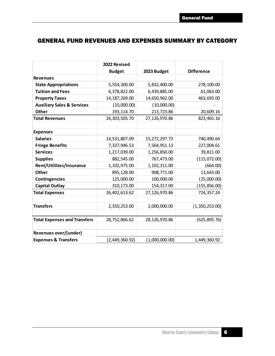### GENERAL FUND REVENUES AND EXPENSES SUMMARY BY CATEGORY

|                                       | 2022 Revised    |                |                   |
|---------------------------------------|-----------------|----------------|-------------------|
|                                       | <b>Budget</b>   | 2023 Budget    | <b>Difference</b> |
| <b>Revenues</b>                       |                 |                |                   |
| <b>State Appropriations</b>           | 5,554,300.00    | 5,832,400.00   | 278,100.00        |
| <b>Tuition and Fees</b>               | 6,378,822.00    | 6,439,885.00   | 61,063.00         |
| <b>Property Taxes</b>                 | 14, 187, 269.00 | 14,650,962.00  | 463,693.00        |
| <b>Auxiliary Sales &amp; Services</b> | (10,000.00)     | (10,000.00)    |                   |
| <b>Other</b>                          | 193,114.70      | 213,723.86     | 20,609.16         |
| <b>Total Revenues</b>                 | 26,303,505.70   | 27,126,970.86  | 823,465.16        |
|                                       |                 |                |                   |
| <b>Expenses</b>                       |                 |                |                   |
| <b>Salaries</b>                       | 14,531,807.09   | 15,272,297.73  | 740,490.64        |
| <b>Fringe Benefits</b>                | 7,337,946.53    | 7,564,951.13   | 227,004.61        |
| <b>Services</b>                       | 1,217,039.00    | 1,256,850.00   | 39,811.00         |
| <b>Supplies</b>                       | 882,545.00      | 767,473.00     | (115,072.00)      |
| Rent/Utilities/Insurance              | 1,102,975.00    | 1,102,311.00   | (664.00)          |
| <b>Other</b>                          | 895,128.00      | 908,771.00     | 13,643.00         |
| <b>Contingencies</b>                  | 125,000.00      | 100,000.00     | (25,000.00)       |
| <b>Capital Outlay</b>                 | 310,173.00      | 154,317.00     | (155, 856.00)     |
| <b>Total Expenses</b>                 | 26,402,613.62   | 27,126,970.86  | 724,357.24        |
|                                       |                 |                |                   |
| <b>Transfers</b>                      | 2,350,253.00    | 1,000,000.00   | (1,350,253.00)    |
|                                       |                 |                |                   |
| <b>Total Expenses and Transfers</b>   | 28,752,866.62   | 28,126,970.86  | (625, 895.76)     |
|                                       |                 |                |                   |
| <b>Revenues over/(under)</b>          |                 |                |                   |
| <b>Expenses &amp; Transfers</b>       | (2,449,360.92)  | (1,000,000.00) | 1,449,360.92      |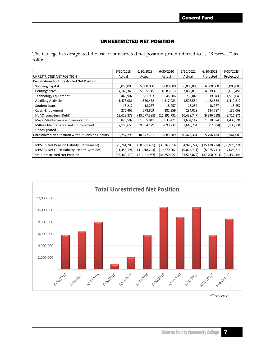#### UNRESTRICTED NET POSITION

The College has designated the use of unrestricted net position (often referred to as "Reserves") as follows:

|                                                     | 6/30/2018      | 6/30/2019    | 6/30/2020      | 6/30/2021      | 6/30/2022    | 6/30/2023    |
|-----------------------------------------------------|----------------|--------------|----------------|----------------|--------------|--------------|
| UNRESTRICTED NET POSITION                           | Actual         | Actual       | Actual         | Actual         | Projected    | Projected    |
| Designations for Unrestricted Net Position:         |                |              |                |                |              |              |
| <b>Working Capital</b>                              | 5,050,000      | 5,050,000    | 6,000,000      | 6,000,000      | 6,000,000    | 6,000,000    |
| Contingencies                                       | 4,145,343      | 5,135,715    | 4,585,913      | 7,068,813      | 4,619,451    | 3,619,451    |
| Technology Equipment                                | 446,907        | 831,933      | 545,606        | 762,043        | 1,519,043    | 1,519,043    |
| <b>Auxiliary Activities</b>                         | 1,473,081      | 1,530,452    | 1,517,083      | 1,526,554      | 1,482,554    | 1,412,812    |
| <b>Student Loans</b>                                | 18,217         | 18,237       | 18,257         | 18,257         | 18,277       | 18,257       |
| Quasi-Endowment                                     | 275,462        | 278,809      | 282,359        | 284,029        | 134,787      | 135,069      |
| HVAC (Long-term Debt)                               | (13,628,873)   | (13,277,385) | (11,995,732)   | (10, 438, 747) | (9,346,218)  | (8,716,871)  |
| Major Maintenance and Renovation                    | 820,507        | 1,385,841    | 1,833,471      | 1,604,147      | 1,870,574    | 1,439,594    |
| Millage Maintenance and Improvement                 | 7,156,653      | 9,594,179    | 6,098,732      | 3,648,264      | (502, 034)   | 3,136,734    |
| Undesignated                                        |                |              |                |                |              |              |
| Unrestricted Net Position without Pension Liability | 5,757,298      | 10,547,781   | 8,885,689      | 10,473,361     | 5,796,434    | 8,564,089    |
|                                                     |                |              |                |                |              |              |
| <b>MPSERS Net Pension Liability (Retirement)</b>    | (29, 761, 286) | (30,651,495) | (33, 265, 514) | (34, 970, 724) | (35,470,724) | (35,970,724) |
| MPSERS Net OPEB Liability (Health-Care Ret)         | (11, 458, 191) | (11,018,223) | (10,270,202)   | (9,025,711)    | (8,025,711)  | (7,025,711)  |
| <b>Total Unrestricted Net Position</b>              | (35, 462, 179) | (31,121,937) | (34,650,027)   | (33,523,074)   | (37,700,001) | 34,432,346)  |



\*Projected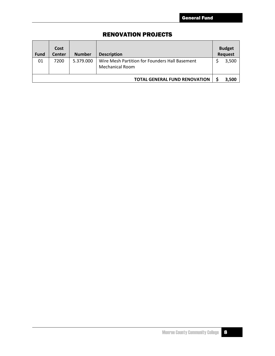#### RENOVATION PROJECTS

| <b>Fund</b> | Cost<br>Center | <b>Number</b> | <b>Description</b>                                                       | <b>Budget</b><br><b>Request</b> |
|-------------|----------------|---------------|--------------------------------------------------------------------------|---------------------------------|
| 01          | 7200           | 5.379.000     | Wire Mesh Partition for Founders Hall Basement<br><b>Mechanical Room</b> | 3,500                           |
|             |                |               | <b>TOTAL GENERAL FUND RENOVATION</b>                                     | 3,500                           |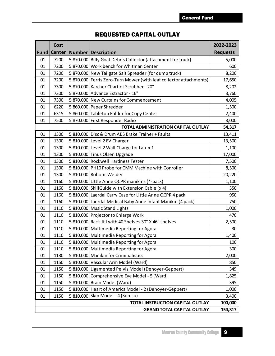|      | Cost          |                                                                    | 2022-2023       |
|------|---------------|--------------------------------------------------------------------|-----------------|
| Fund | <b>Center</b> | <b>Number Description</b>                                          | <b>Requests</b> |
| 01   | 7200          | 5.870.000 Billy Goat Debris Collector (attachment for truck)       | 5,000           |
| 01   | 7200          | 5.870.000 Work bench for Whitman Center                            | 600             |
| 01   | 7200          | 5.870.000 New Tailgate Salt Spreader (for dump truck)              | 8,200           |
| 01   | 7200          | 5.870.000 Ferris Zero-Turn Mower (with leaf collector attachments) | 17,650          |
| 01   | 7300          | 5.870.000 Karcher Chartiot Scrubber - 20"                          | 8,202           |
| 01   | 7300          | 5.870.000 Advance Extractor - 16"                                  | 3,760           |
| 01   | 7300          | 5.870.000 New Curtains for Commencement                            | 4,005           |
| 01   | 6220          | 5.860.000 Paper Shredder                                           | 1,500           |
| 01   | 6315          | 5.860.000 Tabletop Folder for Copy Center                          | 2,400           |
| 01   | 7500          | 5.870.000 First Responder Radio                                    | 3,000           |
|      |               | TOTAL ADMINISTRATION CAPITAL OUTLAY                                | 54,317          |
| 01   | 1300          | 5.810.000 Disc & Drum ABS Brake Trainer + Faults                   | 13,411          |
| 01   | 1300          | 5.810.000 Level 2 EV Charger                                       | 13,500          |
| 01   | 1300          | 5.810.000 Level 2 Wall Charge for Lab x 1                          | 1,100           |
| 01   | 1300          | 5.810.000 Tinus Olsen Upgrade                                      | 17,000          |
| 01   | 1300          | 5.810.000 Rockwell Hardness Tester                                 | 7,500           |
| 01   | 1300          | 5.810.000 PH10 Probe for CMM Machine with Conroller                | 8,500           |
| 01   | 1300          | 5.810.000 Robotic Welder                                           | 20,220          |
| 01   | 1160          | 5.810.000 Little Anne QCPR manikins (4-pack)                       | 1,100           |
| 01   | 1160          | 5.810.000 SkillGuide with Extension Cable (x 4)                    | 350             |
| 01   | 1160          | 5.810.000 Laerdal Carry Case for Little Anne QCPR 4 pack           | 950             |
| 01   | 1160          | 5.810.000 Laerdal Medical Baby Anne Infant Manikin (4 pack)        | 750             |
| 01   | 1110          | 5.810.000 Music Stand Lights                                       | 1,000           |
| 01   | 1110          | 5.810.000 Projector to Enlarge Work                                | 470             |
| 01   | 1110          | 5.810.000 Rack-It I with 40 Shelves 30" X 46" shelves              | 2,500           |
| 01   | 1110          | 5.810.000 Multimedia Reporting for Agora                           | 30              |
| 01   | 1110          | 5.810.000 Multimedia Reporting for Agora                           | 1,400           |
| 01   | 1110          | 5.810.000 Multimedia Reporting for Agora                           | 100             |
| 01   | 1110          | 5.810.000 Multimedia Reporting for Agora                           | 300             |
| 01   | 1130          | 5.810.000 Manikin for Criminalistics                               | 2,000           |
| 01   | 1150          | 5.810.000 Vascular Arm Model (Ward)                                | 850             |
| 01   | 1150          | 5.810.000 Ligamented Pelvis Model (Denoyer-Geppert)                | 349             |
| 01   | 1150          | 5.810.000 Comprehensive Eye Model - 5 (Ward)                       | 1,825           |
| 01   | 1150          | 5.810.000 Brain Model (Ward)                                       | 395             |
| 01   | 1150          | 5.810.000 Heart of America Model - 2 (Denoyer-Geppert)             | 1,000           |
| 01   | 1150          | 5.810.000 Skin Model - 4 (Somso)                                   | 3,400           |
|      |               | <b>TOTAL INSTRUCTION CAPITAL OUTLAY</b>                            | 100,000         |
|      |               | <b>GRAND TOTAL CAPITAL OUTLAY</b>                                  | 154,317         |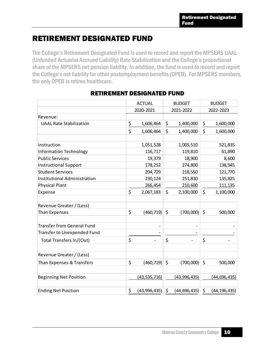## RETIREMENT DESIGNATED FUND

The College's Retirement Designated Fund is used to record and report the MPSERS UAAL (Unfunded Actuarial Accrued Liability) Rate Stabilization and the College's proportional share of the MPSERS net pension liability. In addition, the fund is used to record and report the College's net liability for other postemployment benefits (OPEB). For MPSERS members, the only OPEB is retiree healthcare.

|                                    |               | <b>ACTUAL</b>  | <b>BUDGET</b>        | <b>BUDGET</b> |                |  |
|------------------------------------|---------------|----------------|----------------------|---------------|----------------|--|
|                                    |               | 2020-2021      | 2021-2022            |               | 2022-2023      |  |
| Revenue:                           |               |                |                      |               |                |  |
| <b>UAAL Rate Stabilization</b>     | $\frac{1}{2}$ | 1,606,464      | \$<br>1,400,000      | \$            | 1,600,000      |  |
|                                    | \$            | 1,606,464      | \$<br>1,400,000      | \$            | 1,600,000      |  |
|                                    |               |                |                      |               |                |  |
| Instruction                        |               | 1,051,528      | 1,005,510            |               | 521,835        |  |
| <b>Information Technology</b>      |               | 116,717        | 119,810              |               | 61,890         |  |
| <b>Public Services</b>             |               | 19,379         | 18,900               |               | 8,600          |  |
| <b>Instructional Support</b>       |               | 178,252        | 274,800              |               | 138,945        |  |
| <b>Student Services</b>            |               | 204,729        | 218,550              |               | 121,770        |  |
| Institutional Administration       |               | 230,124        | 251,830              |               | 135,825        |  |
| <b>Physical Plant</b>              |               | 266,454        | 210,600              |               | 111,135        |  |
| Expense                            | \$            | 2,067,183      | \$<br>2,100,000      | \$            | 1,100,000      |  |
|                                    |               |                |                      |               |                |  |
| Revenue Greater / (Less)           |               |                |                      |               |                |  |
| Than Expenses                      | \$            | (460, 719)     | \$<br>(700,000)      | \$            | 500,000        |  |
|                                    |               |                |                      |               |                |  |
| <b>Transfer from General Fund</b>  |               |                |                      |               |                |  |
| <b>Transfer to Unexpended Fund</b> |               |                |                      |               |                |  |
| Total Transfers In/(Out)           | \$            |                | \$                   | \$            |                |  |
|                                    |               |                |                      |               |                |  |
| Revenue Greater / (Less)           |               |                |                      |               |                |  |
| Than Expenses & Transfers          | \$            | (460, 719)     | \$<br>(700,000)      | \$            | 500,000        |  |
|                                    |               |                |                      |               |                |  |
| <b>Beginning Net Position</b>      |               | (43,535,716)   | (43, 996, 435)       |               | (44,696,435)   |  |
|                                    |               |                |                      |               |                |  |
| <b>Ending Net Position</b>         | \$            | (43, 996, 435) | \$<br>(44, 696, 435) | \$            | (44, 196, 435) |  |

#### RETIREMENT DESIGNATED FUND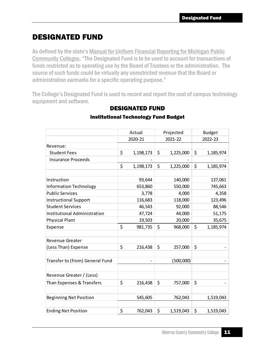## DESIGNATED FUND

As defined by the state's Manual for Uniform Financial Reporting for Michigan Public Community Colleges, "The Designated Fund is to be used to account for transactions of funds restricted as to operating use by the Board of Trustees or the administration. The source of such funds could be virtually any unrestricted revenue that the Board or administration earmarks for a specific operating purpose."

The College's Designated Fund is used to record and report the cost of campus technology equipment and software.

|                                     | Actual          | Projected       | <b>Budget</b>   |
|-------------------------------------|-----------------|-----------------|-----------------|
|                                     | 2020-21         | 2021-22         | 2022-23         |
| Revenue:                            |                 |                 |                 |
| <b>Student Fees</b>                 | \$<br>1,198,173 | \$<br>1,225,000 | \$<br>1,185,974 |
| <b>Insurance Proceeds</b>           |                 |                 |                 |
|                                     | \$<br>1,198,173 | \$<br>1,225,000 | \$<br>1,185,974 |
|                                     |                 |                 |                 |
| Instruction                         | 93,644          | 140,000         | 137,061         |
| <b>Information Technology</b>       | 653,860         | 550,000         | 745,663         |
| <b>Public Services</b>              | 3,778           | 4,000           | 4,358           |
| <b>Instructional Support</b>        | 116,683         | 118,000         | 123,496         |
| <b>Student Services</b>             | 46,543          | 92,000          | 88,546          |
| <b>Institutional Administration</b> | 47,724          | 44,000          | 51,175          |
| <b>Physical Plant</b>               | 19,503          | 20,000          | 35,675          |
| Expense                             | \$<br>981,735   | \$<br>968,000   | \$<br>1,185,974 |
|                                     |                 |                 |                 |
| <b>Revenue Greater</b>              |                 |                 |                 |
| (Less Than) Expense                 | \$<br>216,438   | \$<br>257,000   | \$              |
|                                     |                 |                 |                 |
| Transfer to (from) General Fund     |                 | (500,000)       |                 |
|                                     |                 |                 |                 |
| Revenue Greater / (Less)            |                 |                 |                 |
| Than Expenses & Transfers           | \$<br>216,438   | \$<br>757,000   | \$              |
|                                     |                 |                 |                 |
| <b>Beginning Net Position</b>       | 545,605         | 762,043         | 1,519,043       |
|                                     |                 |                 |                 |
| <b>Ending Net Position</b>          | \$<br>762,043   | \$<br>1,519,043 | \$<br>1,519,043 |

### DESIGNATED FUND

#### Institutional Technology Fund Budget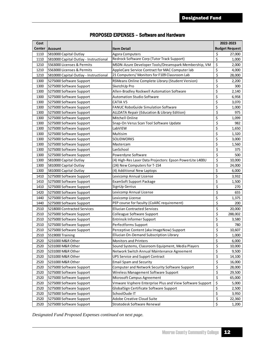| Cost |                                        |                                                           | 2022-2023 |                       |  |
|------|----------------------------------------|-----------------------------------------------------------|-----------|-----------------------|--|
|      | Center  Account                        | <b>Item Detail</b>                                        |           | <b>Budget Request</b> |  |
| 1110 | 5810000 Capital Outlay                 | <b>Agora Computers</b>                                    | \$        | 27,000                |  |
| 1110 | 5810000 Capital Outlay - Instructional | Redrock Software Corp (Tutor Track Support)               | \$        | 1,000                 |  |
| 1210 | 5563000 Licenses & Permits             | MSDN-Azure Developer Tools/Dreamspark Membership, VM      | \$        | 2,000                 |  |
| 1210 | 5563000 Licenses & Permits             | AppleCare Service Contract for MAC Computer lab           | \$        | 4,000                 |  |
| 1210 | 5810000 Capital Outlay - Instructional | 21 Computers/ Monitors for F109 Classroom Lab             | \$        | 28,000                |  |
| 1300 | 5275000 Software Support               | RSMeans Online Complete Library (Student Version)         | \$        | 2,200                 |  |
| 1300 | 5275000 Software Support               | SketchUp Pro                                              | \$        | 300                   |  |
| 1300 | 5275000 Software Support               | Allen-Bradley Rockwell Automation Software                | \$        | 2,140                 |  |
| 1300 | 5275000 Software Support               | <b>Automation Studio Software</b>                         | \$        | 6,958                 |  |
| 1300 | 5275000 Software Support               | <b>CATIA V5</b>                                           | \$        | 3,070                 |  |
| 1300 | 5275000 Software Support               | FANUC RoboGuide Simulation Software                       | \$        | 1,000                 |  |
| 1300 | 5275000 Software Support               | ALLDATA Repair (Education & Library Edition)              | \$        | 975                   |  |
| 1300 | 5275000 Software Support               | Mitchell Online                                           | \$        | 1,099                 |  |
| 1300 | 5275000 Software Support               | Snap-On Verus Scan Tool Software Update                   | \$        | 982                   |  |
| 1300 | 5275000 Software Support               | LabVIEW                                                   | \$        | 1,650                 |  |
| 1300 | 5275000 Software Support               | Multisim                                                  | \$        | 1,320                 |  |
| 1300 | 5275000 Software Support               | <b>SOLIDWORKS</b>                                         | \$        | 3,000                 |  |
| 1300 | 5275000 Software Support               | Mastercam                                                 | \$        | 1,560                 |  |
| 1300 | 5275000 Software Support               | LanSchool                                                 | \$        | 375                   |  |
| 1300 | 5275000 Software Support               | Powerdyne Software                                        | \$        | 500                   |  |
| 1300 | 5810000 Capital Outlay                 | (4) High-Res Laser Data Projectors: Epson PowerLite L400U | \$        | 10,000                |  |
| 1300 | 5810000 Capital Outlay                 | (24) New Computers for T-154                              | \$        | 24.000                |  |
| 1300 | 5810000 Capital Outlay                 | (4) Additional New Laptops                                | \$        | 6,000                 |  |
| 1410 | 5275000 Software Support               | Lexicomp Annual License                                   | \$        | 3,932                 |  |
| 1410 | 5275000 Software Support               | <b>ExamSoft Support Package</b>                           | \$        | 1,500                 |  |
| 1410 | 5275000 Software Support               | SignUp Genius                                             | \$        | 270                   |  |
| 1420 | 5275000 Software Support               | Lexicomp Annual License                                   | \$        | 655                   |  |
| 1440 | 5275000 Software Support               | Lexicomp License                                          | \$        | 1,375                 |  |
| 1440 | 5275000 Software Support               | PEP course for faculty (CoARC requirement)                | \$        | 200                   |  |
| 2510 | 5218000 Contracted Services            | <b>Ellucian Contracted Services</b>                       | \$        | 20,000                |  |
| 2510 | 5275000 Software Support               | Colleague Software Support                                | \$        | 288,002               |  |
| 2510 | 5275000 Software Support               | <b>Entrinsik Informer Support</b>                         | \$        | 3,580                 |  |
| 2510 | 5275000 Software Support               | Perfectforms Support                                      | \$        | 780                   |  |
| 2510 | 5275000 Software Support               | Perceptive Content (aka ImageNow) Support                 | \$        | 10,607                |  |
| 2510 | 5519000 Training                       | Ellucian On-Demand Subscription Library                   | \$        | 1,000                 |  |
| 2520 | 5231000 M&R Other                      | <b>Monitors and Printers</b>                              | \$        | 6,000                 |  |
| 2520 | 5231000 M&R Other                      | Sound Systems, Classroom Equipment, Media Players         | \$        | 10,000                |  |
| 2520 | 5231000 M&R Other                      | Network Switch Annual Maintenance Agreement               | \$        | 9,500                 |  |
| 2520 | 5231000 M&R Other                      | <b>UPS Service and Supprt Contract</b>                    | \$        | 14,100                |  |
| 2520 | 5231000 M&R Other                      | <b>Email Spam and Security</b>                            | \$        | 16,000                |  |
| 2520 | 5275000 Software Support               | Computer and Network Security Software Support            | \$        | 28,000                |  |
| 2520 | 5275000 Software Support               | Wireless Management Software Support                      | \$        | 29,500                |  |
| 2520 | 5275000 Software Support               | Microsoft Campus Agreement                                | \$        | 65,000                |  |
| 2520 | 5275000 Software Support               | Vmware Vsphere Enterprise Plus and View Software Support  | \$        | 5,000                 |  |
| 2520 | 5275000 Software Support               | GlobalSign Certificate Software Support                   | \$        | 2,500                 |  |
| 2520 | 5275000 Software Support               | SchoolDude IT                                             | \$        | 3,950                 |  |
| 2520 | 5275000 Software Support               | Adobe Creative Cloud Suite                                | \$        | 22,360                |  |
| 2520 | 5275000 Software Support               | Stratodesk Software Renewal                               | \$        | 1,200                 |  |

#### PROPOSED EXPENSES – Software and Hardware

*Designated Fund Proposed Expenses continued on next page.*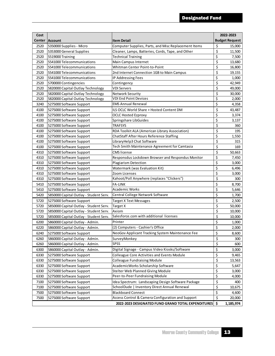| Cost |                                        |                                                       | 2022-2023             |  |  |
|------|----------------------------------------|-------------------------------------------------------|-----------------------|--|--|
|      | Center   Account                       | Item Detail                                           | <b>Budget Request</b> |  |  |
| 2520 | 5350000 Supplies - Micro               | Computer Supplies, Parts, and Misc Replacement Items  | \$<br>15,000          |  |  |
| 2520 | 5353000 General Supplies               | Cleaner, Lamps, Batteries, Cords, Tape, and Other     | \$<br>11,500          |  |  |
| 2520 | 5519000 Training                       | <b>Technical Training</b>                             | \$<br>7,500           |  |  |
| 2520 | 5541000 Telecommunications             | Main Campus Internet                                  | \$<br>13,680          |  |  |
| 2520 | 5541000 Telecommunications             | Whitman Center Point-to-Point                         | \$<br>16,800          |  |  |
| 2520 | 5541000 Telecommunications             | 2nd Internet Connection 1GB to Main Campus            | \$<br>19,155          |  |  |
| 2520 | 5541000 Telecommunications             | IP Addressing Fees                                    | \$<br>1,000           |  |  |
| 2520 | 5700000 Contingencies                  | Contingency                                           | \$<br>42,949          |  |  |
| 2520 | 5820000 Capital Outlay Technology      | <b>VDI Servers</b>                                    | \$<br>49,000          |  |  |
| 2520 | 5820000 Capital Outlay Technology      | <b>Network Security</b>                               | \$<br>30,000          |  |  |
| 2520 | 5820000 Capital Outlay Technology      | <b>VDI End Point Devices</b>                          | \$<br>2,000           |  |  |
| 3240 | 5275000 Software Support               | <b>EMS Annual Renewal</b>                             | \$<br>4,358           |  |  |
| 4100 | 5275000 Software Support               | ILS OCLC World Share + Hosted Content DM              | \$<br>43,487          |  |  |
| 4100 | 5275000 Software Support               | <b>OCLC Hosted Ezproxy</b>                            | \$<br>3,374           |  |  |
| 4100 | 5275000 Software Support               | Springshare LibGuides                                 | \$<br>3,137           |  |  |
| 4100 | 5275000 Software Support               | <b>TRAFSYS</b>                                        | \$<br>360             |  |  |
| 4100 | 5275000 Software Support               | RDA Toolkit ALA (American Library Association)        | \$<br>195             |  |  |
| 4100 | 5275000 Software Support               | ChatStaff After Hours Reference Staffing              | \$<br>1,550           |  |  |
| 4100 | 5275000 Software Support               | LibraryHelp3 Chat Software                            | \$<br>315             |  |  |
| 4100 | 5275000 Software Support               | Tech Smith Maintenance Agreement for Camtasia         | \$<br>169             |  |  |
| 4310 | 5275000 Software Support               | <b>CMS</b> license                                    | \$<br>50,663          |  |  |
| 4310 | 5275000 Software Support               | Responsdus Lockdown Browser and Respondus Monitor     | \$<br>7,450           |  |  |
| 4310 | 5275000 Software Support               | <b>Plagiarism Detection</b>                           | \$<br>3,000           |  |  |
| 4310 | 5275000 Software Support               | Watermark (was Evaluation Kit)                        | \$<br>6,496           |  |  |
| 4310 | 5275000 Software Support               | Zoom Licenses                                         | \$<br>3,000           |  |  |
| 4310 | 5275000 Software Support               | Kahoot/Poll Anywhere (replaces "Clickers")            | \$<br>300             |  |  |
| 5410 | 5275000 Software Support               | <b>FA-LINK</b>                                        | \$<br>8,700           |  |  |
| 5410 | 5275000 Software Support               | Academic Works                                        | \$<br>5,646           |  |  |
| 5420 | 5850000 Capital Outlay - Student Serv. | Central College Network Software                      | \$<br>1,700           |  |  |
| 5720 | 5275000 Software Support               | <b>Target X Text Messages</b>                         | \$<br>2,500           |  |  |
| 5720 | 5850000 Capital Outlay - Student Serv. | Target X                                              | \$<br>50,000          |  |  |
| 5720 | 5850000 Capital Outlay - Student Serv. | Axiom                                                 | \$<br>10,000          |  |  |
| 5720 | 5850000 Capital Outlay - Student Serv. | Salesforce.com with additional licenses               | \$<br>10,000          |  |  |
| 6200 | 5860000 Capital Outlay - Admin.        | Printer                                               | \$<br>1,000           |  |  |
| 6220 | 5860000 Capital Outlay - Admin.        | (2) Computers - Cashier's Office                      | \$<br>2,000           |  |  |
| 6240 | 5275000 Software Support               | NeoGov Applicant Tracking System Maintenance Fee      | \$<br>8,600           |  |  |
| 6260 | 5860000 Capital Outlay - Admin.        | SurveyMonkey                                          | \$<br>300             |  |  |
| 6260 | 5860000 Capital Outlay - Admin.        | <b>SPSS</b>                                           | \$<br>600             |  |  |
| 6300 | 5860000 Capital Outlay - Admin.        | Digital Signage - Campus Video Kiosks/Software        | \$<br>3,000           |  |  |
| 6330 | 5275000 Software Support               | <b>Colleague Core Activities and Events Module</b>    | \$<br>9,465           |  |  |
| 6330 | 5275000 Software Support               | <b>Colleague Fundraising Module</b>                   | \$<br>13,563          |  |  |
| 6330 | 5275000 Software Support               | AcademicWorks Scholarship Software                    | \$<br>5,647           |  |  |
| 6330 | 5275000 Software Support               | Stelter Web Planned Giving Module                     | \$<br>3,000           |  |  |
| 6330 | 5275000 Software Support               | Peer-to-Peer Fundraising Module                       | \$<br>4,000           |  |  |
| 7100 | 5275000 Software Support               | Idea Spectrum: Landscaping Design Software Package    | \$<br>400             |  |  |
| 7100 | 5275000 Software Support               | SchoolDude   Inventory Direct Annual Renewal          | \$<br>10,675          |  |  |
| 7500 | 5275000 Software Support               | <b>Blackboard Connect</b>                             | \$<br>4,600           |  |  |
| 7500 | 5275000 Software Support               | Access Control & Camera Configuration and Support     | \$<br>20,000          |  |  |
|      |                                        | 2022-2023 DESIGNATED FUND GRAND TOTAL EXPENDITURES \$ | 1,185,974             |  |  |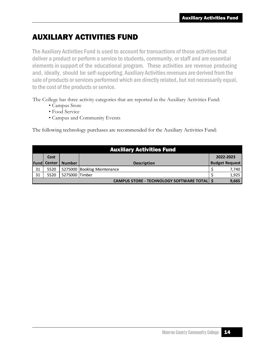## AUXILIARY ACTIVITIES FUND

The Auxiliary Activities Fund is used to account for transactions of those activities that deliver a product or perform a service to students, community, orstaff and are essential elements in support of the educational program. These activities are revenue producing and, ideally, should be self-supporting. Auxiliary Activities revenues are derived from the sale of products or services performed which are directly related, but not necessarily equal, to the cost of the products or service.

The College has three activity categories that are reported in the Auxiliary Activities Fund:

- Campus Store
- Food Service
- Campus and Community Events

The following technology purchases are recommended for the Auxiliary Activities Fund:

|      |               |                | <b>Auxiliary Activities Fund</b>                     |                       |
|------|---------------|----------------|------------------------------------------------------|-----------------------|
|      | Cost          |                |                                                      | 2022-2023             |
| Fund | <b>Center</b> | <b>Number</b>  | <b>Description</b>                                   | <b>Budget Request</b> |
| 31   | 5520          |                | 5275000 Booklog Maintenance                          | 7,740                 |
| 31   | 5520          | 5275000 Timber |                                                      | 1,925                 |
|      |               |                | <b>CAMPUS STORE - TECHNOLOGY SOFTWARE TOTAL   \$</b> | 9,665                 |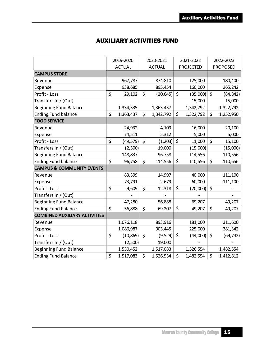### AUXILIARY ACTIVITIES FUND

|                                      | 2019-2020 |               | 2020-2021 |               | 2021-2022 |                  | 2022-2023 |                 |
|--------------------------------------|-----------|---------------|-----------|---------------|-----------|------------------|-----------|-----------------|
|                                      |           | <b>ACTUAL</b> |           | <b>ACTUAL</b> |           | <b>PROJECTED</b> |           | <b>PROPOSED</b> |
| <b>CAMPUS STORE</b>                  |           |               |           |               |           |                  |           |                 |
| Revenue                              |           | 967,787       |           | 874,810       |           | 125,000          |           | 180,400         |
| Expense                              |           | 938,685       |           | 895,454       |           | 160,000          |           | 265,242         |
| Profit - Loss                        | \$        | 29,102        | \$        | (20, 645)     | $\zeta$   | (35,000)         | $\zeta$   | (84, 842)       |
| Transfers In / (Out)                 |           |               |           |               |           | 15,000           |           | 15,000          |
| <b>Beginning Fund Balance</b>        |           | 1,334,335     |           | 1,363,437     |           | 1,342,792        |           | 1,322,792       |
| <b>Ending Fund balance</b>           | \$        | 1,363,437     | \$        | 1,342,792     | \$        | 1,322,792        | \$        | 1,252,950       |
| <b>FOOD SERVICE</b>                  |           |               |           |               |           |                  |           |                 |
| Revenue                              |           | 24,932        |           | 4,109         |           | 16,000           |           | 20,100          |
| Expense                              |           | 74,511        |           | 5,312         |           | 5,000            |           | 5,000           |
| Profit - Loss                        | \$        | (49, 579)     | \$        | (1, 203)      | \$        | 11,000           | \$        | 15,100          |
| Transfers In / (Out)                 |           | (2,500)       |           | 19,000        |           | (15,000)         |           | (15,000)        |
| <b>Beginning Fund Balance</b>        |           | 148,837       |           | 96,758        |           | 114,556          |           | 110,556         |
| <b>Ending Fund balance</b>           | \$        | 96,758        | \$        | 114,556       | \$        | 110,556          | \$        | 110,656         |
| <b>CAMPUS &amp; COMMUNITY EVENTS</b> |           |               |           |               |           |                  |           |                 |
| Revenue                              |           | 83,399        |           | 14,997        |           | 40,000           |           | 111,100         |
| Expense                              |           | 73,791        |           | 2,679         |           | 60,000           |           | 111,100         |
| Profit - Loss                        | \$        | 9,609         | \$        | 12,318        | \$        | (20,000)         | \$        |                 |
| Transfers In / (Out)                 |           |               |           |               |           |                  |           |                 |
| <b>Beginning Fund Balance</b>        |           | 47,280        |           | 56,888        |           | 69,207           |           | 49,207          |
| <b>Ending Fund balance</b>           | \$        | 56,888        | \$        | 69,207        | \$        | 49,207           | \$        | 49,207          |
| <b>COMBINED AUXILIARY ACTIVITIES</b> |           |               |           |               |           |                  |           |                 |
| Revenue                              |           | 1,076,118     |           | 893,916       |           | 181,000          |           | 311,600         |
| Expense                              |           | 1,086,987     |           | 903,445       |           | 225,000          |           | 381,342         |
| Profit - Loss                        | \$        | (10, 869)     | \$        | (9, 529)      | \$        | (44,000)         | \$        | (69, 742)       |
| Transfers In / (Out)                 |           | (2,500)       |           | 19,000        |           |                  |           |                 |
| <b>Beginning Fund Balance</b>        |           | 1,530,452     |           | 1,517,083     |           | 1,526,554        |           | 1,482,554       |
| <b>Ending Fund Balance</b>           | $\zeta$   | 1,517,083     | \$        | 1,526,554     | \$        | 1,482,554        | $\zeta$   | 1,412,812       |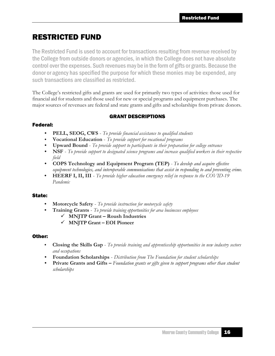## RESTRICTED FUND

The Restricted Fund is used to account for transactions resulting from revenue received by the College from outside donors or agencies, in which the College does not have absolute control over the expenses. Such revenuesmay be in the formof gifts or grants. Because the donor or agency has specified the purpose for which these monies may be expended, any such transactions are classified as restricted.

The College's restricted gifts and grants are used for primarily two types of activities: those used for financial aid for students and those used for new or special programs and equipment purchases. The major sources of revenues are federal and state grants and gifts and scholarships from private donors.

#### GRANT DESCRIPTIONS

#### Federal:

- **• PELL, SEOG, CWS** *To provide financial assistance to qualified students*
- **• Vocational Education** *To provide support for vocational programs*
- **• Upward Bound** *To provide support to participants in their preparation for college entrance*
- **• NSF**  *To provide support to designated science programs and increase qualified workers in their respective field*
- **• COPS Technology and Equipment Program (TEP)** *- To develop and acquire effective equipment technologies, and interoperable communications that assist in responding to and preventing crime.*
- **• HEERF I, II, III** *To provide higher education emergency relief in response to the COVID-19 Pandemic*

#### State:

- **• Motorcycle Safety** *To provide instruction for motorcycle safety*
- **• Training Grants** *To provide training opportunities for area businesses employees*
	- ✓ **MNJTP Grant – Roush Industries**
	- ✓ **MNJTP Grant – EOI Pioneer**

#### Other:

- **• Closing the Skills Gap** *To provide training and apprenticeship opportunities in new industry sectors and occupations*
- **• Foundation Scholarships** *Distribution from The Foundation for student scholarships*
- **• Private Grants and Gifts –** *Foundation grants or gifts given to support programs other than student scholarships*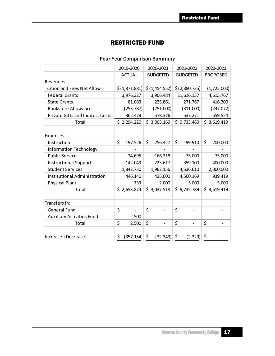#### RESTRICTED FUND

#### Four-Year Comparison Summary

|                                         | 2019-2020        | 2020-2021                      | 2021-2022       | 2022-2023       |
|-----------------------------------------|------------------|--------------------------------|-----------------|-----------------|
|                                         | <b>ACTUAL</b>    | <b>BUDGETED</b>                | <b>BUDGETED</b> | <b>PROPOSED</b> |
| Revenues:                               |                  |                                |                 |                 |
| <b>Tuition and Fees Net Allow</b>       | \$(1,871,881)    | \$(1,454,552)                  | \$(2,380,735)   | (1,725,000)     |
| <b>Federal Grants</b>                   | 3,976,327        | 3,906,484                      | 11,616,157      | 4,615,767       |
| <b>State Grants</b>                     | 81,083           | 225,861                        | 271,767         | 416,200         |
| <b>Bookstore Allowance</b>              | (253, 787)       | (251,000)                      | (311,000)       | (247, 072)      |
| <b>Private Gifts and Indirect Costs</b> | 362,479          | 578,376                        | 537,271         | 559,524         |
| Total                                   | \$2,294,220      | \$3,005,169                    | \$9,733,460     | \$3,619,419     |
|                                         |                  |                                |                 |                 |
| Expenses:                               |                  |                                |                 |                 |
| Instruction                             | \$<br>197,526    | \$<br>256,427                  | \$<br>199,910   | \$<br>200,000   |
| <b>Information Technology</b>           |                  |                                |                 |                 |
| <b>Public Service</b>                   | 24,695           | 168,318                        | 75,000          | 75,000          |
| <b>Instructional Support</b>            | 142,049          | 223,617                        | 359,100         | 400,000         |
| <b>Student Services</b>                 | 1,842,730        | 1,962,156                      | 4,536,610       | 2,000,000       |
| <b>Institutional Administration</b>     | 446,140          | 425,000                        | 4,560,169       | 939,419         |
| <b>Physical Plant</b>                   | 733              | 2,000                          | 5,000           | 5,000           |
| Total                                   | \$2,653,874      | \$3,037,518                    | \$9,735,789     | \$3,619,419     |
|                                         |                  |                                |                 |                 |
| Transfers In:                           |                  |                                |                 |                 |
| <b>General Fund</b>                     | \$               | \$                             | \$              |                 |
| <b>Auxiliary Activities Fund</b>        | 2,500            |                                |                 |                 |
| Total                                   | \$<br>2,500      | \$<br>$\overline{\phantom{a}}$ | \$              | \$              |
|                                         |                  |                                |                 |                 |
| Increase (Decrease)                     | \$<br>(357, 154) | \$<br>(32, 349)                | \$<br>(2, 329)  | \$              |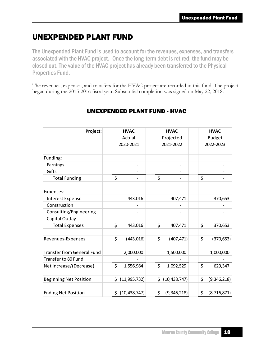## UNEXPENDED PLANT FUND

The Unexpended Plant Fund is used to account for the revenues, expenses, and transfers associated with the HVAC project. Once the long-term debt is retired, the fund may be closed out. The value of the HVAC project has already been transferred to the Physical Properties Fund.

The revenues, expenses, and transfers for the HVAC project are recorded in this fund. The project began during the 2015-2016 fiscal year. Substantial completion was signed on May 22, 2018.

| Project:                          | <b>HVAC</b>          | <b>HVAC</b>          | <b>HVAC</b>         |
|-----------------------------------|----------------------|----------------------|---------------------|
|                                   | Actual               | Projected            | <b>Budget</b>       |
|                                   | 2020-2021            | 2021-2022            | 2022-2023           |
|                                   |                      |                      |                     |
| Funding:                          |                      |                      |                     |
| Earnings                          |                      |                      |                     |
| Gifts                             |                      |                      |                     |
| <b>Total Funding</b>              | \$                   | \$                   | \$                  |
| Expenses:                         |                      |                      |                     |
| <b>Interest Expense</b>           | 443,016              | 407,471              | 370,653             |
| Construction                      |                      |                      |                     |
| Consulting/Engineering            |                      |                      |                     |
| Capital Outlay                    |                      |                      |                     |
| <b>Total Expenses</b>             | \$<br>443,016        | \$<br>407,471        | \$<br>370,653       |
|                                   |                      |                      |                     |
| Revenues-Expenses                 | \$<br>(443, 016)     | \$<br>(407, 471)     | \$<br>(370, 653)    |
|                                   |                      |                      |                     |
| <b>Transfer from General Fund</b> | 2,000,000            | 1,500,000            | 1,000,000           |
| Transfer to 80 Fund               |                      |                      |                     |
| Net Increase/(Decrease)           | \$<br>1,556,984      | \$<br>1,092,529      | \$<br>629,347       |
| <b>Beginning Net Position</b>     | (11, 995, 732)<br>\$ | \$<br>(10, 438, 747) | \$<br>(9,346,218)   |
|                                   |                      |                      |                     |
| <b>Ending Net Position</b>        | \$<br>(10, 438, 747) | \$<br>(9,346,218)    | \$<br>(8, 716, 871) |

### UNEXPENDED PLANT FUND - HVAC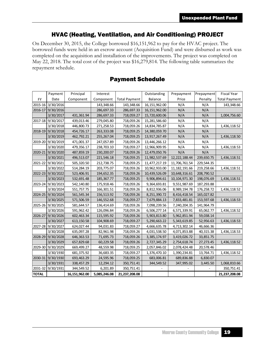#### HVAC (Heating, Ventilation, and Air Conditioning) PROJECT

On December 30, 2015, the College borrowed \$16,151,962 to pay for the HVAC project. The borrowed funds were held in an escrow account (Acquisition Fund) and were disbursed as work was completed on the acquisition and installation of the improvements. The project was completed on May 22, 2018. The total cost of the project was \$16,279,814. The following table summarizes the repayment schedule.

|              | Payment           | Principal     | Interest     |                      | Outstanding     | Prepayment      | Prepayment | <b>Fiscal Year</b>   |
|--------------|-------------------|---------------|--------------|----------------------|-----------------|-----------------|------------|----------------------|
| <b>FY</b>    | Date              | Component     | Component    | <b>Total Payment</b> | Balance         | Price           | Penalty    | <b>Total Payment</b> |
|              | 2015-16 3/30/2016 |               | 143,348.66   | 143,348.66           | 16, 151, 962.00 | N/A             | N/A        | 143,348.66           |
| 2016-17      | 9/30/2016         |               | 286,697.33   | 286,697.33           | 16, 151, 962.00 | N/A             | N/A        |                      |
|              | 3/30/2017         | 431,361.94    | 286,697.33   | 718,059.27           | 15,720,600.06   | N/A             | N/A        | 1,004,756.60         |
| 2017-18      | 9/30/2017         | 439,013.46    | 279,045.80   | 718,059.26           | 15,281,586.60   | N/A             | N/A        |                      |
|              | 3/30/2018         | 446,800.73    | 271,258.53   | 718,059.26           | 14,834,785.87   | N/A             | N/A        | 1,436,118.52         |
| 2018-19      | 9/30/2018         | 454,726.17    | 263,333.08   | 718,059.25           | 14,380,059.70   | N/A             | N/A        |                      |
|              | 3/30/2019         | 462,792.21    | 255,267.04   | 718,059.25           | 13,917,267.49   | N/A             | N/A        | 1,436,118.50         |
| 2019-20      | 9/30/2019         | 471,001.37    | 247,057.89   | 718,059.26           | 13,446,266.12   | N/A             | N/A        |                      |
|              | 3/30/2020         | 479,356.17    | 238,703.10   | 718,059.27           | 12,966,909.95   | N/A             | N/A        | 1,436,118.53         |
|              | 2020-21 9/30/2020 | 487,859.19    | 230,200.07   | 718,059.26           | 12,479,050.76   | N/A             | N/A        |                      |
|              | 3/30/2021         | 496,513.07    | 221,546.18   | 718,059.25           | 11,982,537.69   | 12, 222, 188.44 | 239,650.75 | 1,436,118.51         |
| 2021-22      | 9/30/2021         | 505,320.50    | 212,738.75   | 718,059.25           | 11,477,217.19   | 11,706,761.54   | 229,544.35 |                      |
|              | 3/30/2022         | 514,284.19    | 203,775.07   | 718,059.26           | 10,962,933.00   | 11, 182, 191.66 | 219,258.66 | 1,436,118.51         |
|              | 2022-23 9/30/2022 | 523,406.91    | 194,652.35   | 718,059.26           | 10,439,526.09   | 10,648,316.61   | 208,790.52 |                      |
|              | 3/30/2023         | 532,691.48    | 185, 367. 77 | 718,059.25           | 9,906,894.61    | 10, 104, 971.30 | 198,076.69 | 1,436,118.51         |
| 2023-24      | 9/30/2023         | 542,140.80    | 175,918.46   | 718,059.26           | 9,364,693.81    | 9,551,987.69    | 187,293.88 |                      |
|              | 3/30/2024         | 551,757.75    | 166,301.51   | 718,059.26           | 8,812,936.06    | 8,989,194.78    | 176,258.72 | 1,436,118.52         |
| 2024-25      | 9/30/2024         | 561,545.34    | 156,513.92   | 718,059.26           | 8,251,390.72    | 8,416,418.54    | 165,027.82 |                      |
|              | 3/30/2025         | 571,506.59    | 146,552.68   | 718,059.27           | 7,679,884.13    | 7,833,481.81    | 153,597.68 | 1,436,118.53         |
| 2025-26      | 9/30/2025         | 581,644.57    | 136,414.69   | 718,059.26           | 7,098,239.56    | 7,240,204.35    | 141,964.79 |                      |
|              | 3/30/2026         | 591,962.42    | 126,096.84   | 718,059.26           | 6,506,277.14    | 6,571,339.91    | 65,062.77  | 1,436,118.52         |
| 2026-27      | 9/30/2026         | 602,463.34    | 115,595.92   | 718,059.26           | 5,903,813.80    | 5,962,851.94    | 59,038.14  |                      |
|              | 3/30/2027         | 613,150.58    | 104,908.69   | 718,059.27           | 5,290,663.22    | 5,343,619.85    | 52,956.63  | 1,436,118.53         |
| 2027-28      | 9/30/2027         | 624,027.44    | 94,031.83    | 718,059.27           | 4,666,635.78    | 4,713,302.14    | 46,666.36  |                      |
|              | 3/30/2028         | 635,097.28    | 82,961.98    | 718,059.26           | 4,031,538.50    | 4,071,853.88    | 40,315.38  | 1,436,118.53         |
| 2028-29      | 9/30/2028         | 646,363.53    | 71,695.73    | 718,059.26           | 3,385,174.97    | 3,419,026.72    | 33,851.75  |                      |
|              | 3/30/2029         | 657,829.68    | 60,229.58    | 718,059.26           | 2,727,345.29    | 2,754,618.74    | 27,273.45  | 1,436,118.52         |
|              | 2029-30 9/30/2029 | 669,499.27    | 48,559.98    | 718,059.25           | 2,057,846.02    | 2,078,424.48    | 20,578.46  |                      |
|              | 3/30/1930         | 681,375.92    | 36,683.35    | 718,059.27           | 1,376,470.10    | 1,390,234.81    | 13,764.71  | 1,436,118.52         |
|              | 2030-31 9/30/1930 | 693,463.29    | 24,595.96    | 718,059.25           | 683,006.81      | 689,836.88      | 6,830.07   |                      |
|              | 3/30/1931         | 338,457.29    | 12,294.12    | 350,751.41           | 344,549.52      | 347,995.02      | 3,445.50   | 1,068,810.66         |
| 2031-32      | 9/30/1931         | 344,549.52    | 6,201.89     | 350,751.41           |                 |                 |            | 350,751.41           |
| <b>TOTAL</b> |                   | 16,151,962.00 | 5,085,246.08 | 21,237,208.08        |                 |                 |            | 21,237,208.08        |

#### Payment Schedule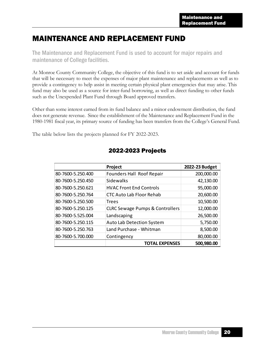### MAINTENANCE AND REPLACEMENT FUND

The Maintenance and Replacement Fund is used to account for major repairs and maintenance of College facilities.

At Monroe County Community College, the objective of this fund is to set aside and account for funds that will be necessary to meet the expenses of major plant maintenance and replacements as well as to provide a contingency to help assist in meeting certain physical plant emergencies that may arise. This fund may also be used as a source for inter-fund borrowing, as well as direct funding to other funds such as the Unexpended Plant Fund through Board approved transfers.

Other than some interest earned from its fund balance and a minor endowment distribution, the fund does not generate revenue. Since the establishment of the Maintenance and Replacement Fund in the 1980-1981 fiscal year, its primary source of funding has been transfers from the College's General Fund.

The table below lists the projects planned for FY 2022-2023.

|                   | Project                                    | 2022-23 Budget |
|-------------------|--------------------------------------------|----------------|
| 80-7600-5.250.400 | Founders Hall Roof Repair                  | 200,000.00     |
| 80-7600-5.250.450 | Sidewalks                                  | 42,130.00      |
| 80-7600-5.250.621 | <b>HVAC Front End Controls</b>             | 95,000.00      |
| 80-7600-5.250.764 | <b>CTC Auto Lab Floor Rehab</b>            | 20,600.00      |
| 80-7600-5.250.500 | <b>Trees</b>                               | 10,500.00      |
| 80-7600-5.250.125 | <b>CLRC Sewage Pumps &amp; Controllers</b> | 12,000.00      |
| 80-7600-5.525.004 | Landscaping                                | 26,500.00      |
| 80-7600-5.250.115 | Auto Lab Detection System                  | 5,750.00       |
| 80-7600-5.250.763 | Land Purchase - Whitman                    | 8,500.00       |
| 80-7600-5.700.000 | Contingency                                | 80,000.00      |
|                   | <b>TOTAL EXPENSES</b>                      | 500,980.00     |

#### 2022-2023 Projects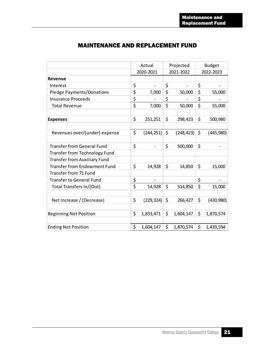| <b>MAINTENANCE AND REPLACEMENT FUND</b> |
|-----------------------------------------|
|-----------------------------------------|

|                                      |                  | Actual                   |           | Projected  | <b>Budget</b> |            |  |
|--------------------------------------|------------------|--------------------------|-----------|------------|---------------|------------|--|
|                                      |                  | 2020-2021                | 2021-2022 |            |               | 2022-2023  |  |
| Revenue                              |                  |                          |           |            |               |            |  |
| Interest                             | \$               |                          | \$        |            | \$            |            |  |
| <b>Pledge Payments/Donations</b>     | \$               | 7,000                    | \$        | 50,000     | \$            | 55,000     |  |
| <b>Insurance Proceeds</b>            | \$               |                          | \$        |            | \$            |            |  |
| <b>Total Revenue</b>                 | $\overline{\xi}$ | 7,000                    | \$        | 50,000     | \$            | 55,000     |  |
|                                      |                  |                          |           |            |               |            |  |
| <b>Expenses</b>                      | \$               | 251,251                  | \$        | 298,423    | \$            | 500,980    |  |
| Revenues over/(under) expense        | \$               | (244, 251)               | \$        | (248, 423) | \$            | (445, 980) |  |
| <b>Transfer from General Fund</b>    | \$               |                          | \$        | 500,000    | \$            |            |  |
| <b>Transfer from Technology Fund</b> |                  |                          |           |            |               |            |  |
| <b>Transfer from Auxiliary Fund</b>  |                  |                          |           |            |               |            |  |
| <b>Transfer from Endowment Fund</b>  | \$               | 14,928                   | \$        | 14,850     | \$            | 15,000     |  |
| Transfer from 71 Fund                |                  |                          |           |            |               |            |  |
| <b>Transfer to General Fund</b>      | \$               | $\overline{\phantom{a}}$ |           |            | \$            |            |  |
| Total Transfers In/(Out)             | \$               | 14,928                   | \$        | 514,850    | \$            | 15,000     |  |
|                                      |                  |                          |           |            |               |            |  |
| Net Increase / (Decrease)            | \$               | (229, 324)               | \$        | 266,427    | \$            | (430, 980) |  |
| <b>Beginning Net Position</b>        | \$               | 1,833,471                | \$        | 1,604,147  | \$            | 1,870,574  |  |
| <b>Ending Net Position</b>           | \$               | 1,604,147                | \$        | 1,870,574  | \$            | 1,439,594  |  |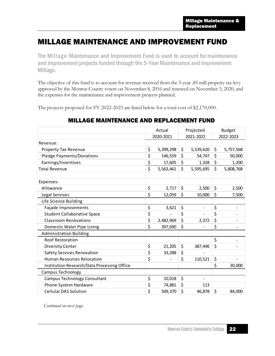### MILLAGE MAINTENANCE AND IMPROVEMENT FUND

The Millage Maintenance and Improvement Fund is used to account for maintenance and improvement projects funded through the 5-Year Maintenance and Improvement Millage.

The objective of this fund is to account for revenue received from the 5-year .85 mill property tax levy approved by the Monroe County voters on November 8, 2016 and renewed on November 3, 2020, and the expenses for the maintenance and improvement projects planned.

The projects proposed for FY 2022-2023 are listed below for a total cost of \$2,170,000.

#### MILLAGE MAINTENANCE AND REPLACEMENT FUND

|                                             | Actual                 | Projected |                              | <b>Budget</b> |           |
|---------------------------------------------|------------------------|-----------|------------------------------|---------------|-----------|
|                                             | 2020-2021<br>2021-2022 |           | 2022-2023                    |               |           |
| Revenue:                                    |                        |           |                              |               |           |
| <b>Property Tax Revenue</b>                 | \$<br>5,399,298        | \$        | 5,539,620                    | \$            | 5,757,568 |
| <b>Pledge Payments/Donations</b>            | \$<br>146,559          | \$        | 54,747                       | \$            | 50,000    |
| Earnings/Incentives                         | \$<br>17,605           | \$        | 1,328                        | \$            | 1,200     |
| <b>Total Revenue</b>                        | \$<br>5,563,461        | \$        | 5,595,695                    | \$            | 5,808,768 |
| Expenses:                                   |                        |           |                              |               |           |
| Allowance                                   | \$<br>2,717            | \$        | 2,500                        | \$            | 2,500     |
| Legal Services                              | \$<br>12,059           | \$        | 10,000                       | \$            | 7,500     |
| Life Science Building                       |                        |           |                              |               |           |
| Façade Improvements                         | \$<br>3,621            | \$        | $\qquad \qquad \blacksquare$ | \$            |           |
| <b>Student Collaborative Space</b>          | \$                     | \$        |                              | \$            |           |
| <b>Classroom Renovations</b>                | \$<br>2,482,969        | \$        | 2,372                        | \$            |           |
| Domestic Water Pipe Lining                  | \$<br>397,690          | \$        |                              | \$            |           |
| <b>Administration Building</b>              |                        |           |                              |               |           |
| Roof Restoration                            |                        |           |                              | \$            |           |
| <b>Diversity Center</b>                     | \$<br>21,205           | \$        | 387,446                      | \$            |           |
| <b>Safety Services Renovation</b>           | \$<br>33,288           | \$        |                              |               |           |
| <b>Human Resources Relocation</b>           | \$                     | \$        | 110,521                      | \$            |           |
| Institution Research/Data Processing Office |                        |           |                              | \$            | 20,000    |
| <b>Campus Technology</b>                    |                        |           |                              |               |           |
| Campus Technology Consultant                | \$<br>10,018           | \$        |                              |               |           |
| Phone System Hardware                       | \$<br>74,881           | \$        | 113                          |               |           |
| <b>Cellular DAS Solution</b>                | \$<br>509,370          | \$        | 46,878                       | \$            | 84,000    |

*Continued on next page.*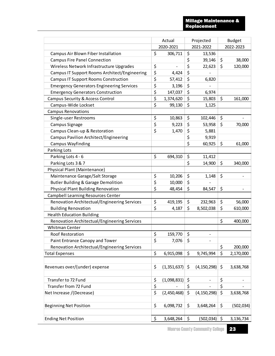#### Millage Maintenance & Replacement

|                                                  |                  | Actual        |    | Projected                |    | <b>Budget</b> |  |
|--------------------------------------------------|------------------|---------------|----|--------------------------|----|---------------|--|
|                                                  |                  | 2020-2021     |    | 2021-2022                |    | 2022-2023     |  |
| Campus Air Blown Fiber Installation              | \$               | 306,711       | \$ | 13,536                   |    |               |  |
| <b>Campus Fire Panel Connection</b>              |                  |               | \$ | 39,146                   | \$ | 38,000        |  |
| Wireless Network Infrastructure Upgrades         | \$               |               | \$ | 22,623                   | \$ | 120,000       |  |
| Campus IT Support Rooms Architect/Engineering    | \$               | 4,424         | \$ |                          |    |               |  |
| <b>Campus IT Support Rooms Construction</b>      | \$               | 57,412        | \$ | 6,820                    |    |               |  |
| <b>Emergency Generators Engineering Services</b> | \$               | 3,196         | \$ |                          |    |               |  |
| <b>Emergency Generators Construction</b>         | \$               | 147,037       | \$ | 6,974                    |    |               |  |
| Campus Security & Access Control                 | \$               | 1,374,620     | \$ | 15,803                   | \$ | 161,000       |  |
| Campus-Wide Lockset                              | $\overline{\xi}$ | 99,130        | \$ | 1,125                    |    |               |  |
| <b>Campus Renovations</b>                        |                  |               |    |                          |    |               |  |
| Single-user Restrooms                            | \$               | 10,863        | \$ | 102,446                  | \$ |               |  |
| Campus Signage                                   | \$               | 9,223         | \$ | 53,958                   | \$ | 70,000        |  |
| Campus Clean-up & Restoration                    | \$               | 1,470         | \$ | 5,881                    |    |               |  |
| <b>Campus Pavilion Architect/Engineering</b>     |                  |               | \$ | 9,919                    |    |               |  |
| <b>Campus Wayfinding</b>                         |                  |               | \$ | 60,925                   | \$ | 61,000        |  |
| Parking Lots                                     |                  |               |    |                          |    |               |  |
| Parking Lots 4 - 6                               | \$               | 694,310       | \$ | 11,412                   |    |               |  |
| Parking Lots 3 & 7                               |                  |               | \$ | 14,900                   | \$ | 340,000       |  |
| Physical Plant (Maintenance)                     |                  |               |    |                          |    |               |  |
| Maintenance Garage/Salt Storage                  | \$               | 10,206        | \$ | 1,148                    | \$ |               |  |
| Butler Building & Garage Demolition              | \$               | 10,000        | \$ |                          |    |               |  |
| Physical Plant Building Renovation               | \$               | 48,454        | \$ | 84,547                   | \$ |               |  |
| Campbell Learning Resources Center               |                  |               |    |                          |    |               |  |
| Renovation Architectual/Engineering Services     | \$               | 419,195       | \$ | 232,963                  | \$ | 56,000        |  |
| <b>Building Renovation</b>                       | \$               | 4,187         | \$ | 8,502,038                | \$ | 610,000       |  |
| <b>Health Education Building</b>                 |                  |               |    |                          |    |               |  |
| Renovation Architectual/Engineering Services     |                  |               |    |                          | \$ | 400,000       |  |
| <b>Whitman Center</b>                            |                  |               |    |                          |    |               |  |
| Roof Restoration                                 | \$               | 159,770       | \$ |                          |    |               |  |
| Paint Entrance Canopy and Tower                  | \$               | 7,076         | \$ |                          |    |               |  |
| Renovation Architectual/Engineering Services     |                  |               |    |                          | \$ | 200,000       |  |
| <b>Total Expenses</b>                            | \$               | 6,915,098     | \$ | 9,745,994                | \$ | 2,170,000     |  |
|                                                  |                  |               |    |                          |    |               |  |
| Revenues over/(under) expense                    | \$               | (1, 351, 637) | \$ | (4, 150, 298)            | \$ | 3,638,768     |  |
|                                                  |                  |               |    |                          |    |               |  |
| Transfer to 72 Fund                              | \$               | (1,098,831)   | \$ | $\overline{\phantom{a}}$ | \$ |               |  |
| Transfer from 72 Fund                            | \$               |               | \$ |                          | \$ |               |  |
| Net Increase /(Decrease)                         | \$               | (2,450,468)   | \$ | (4, 150, 298)            | \$ | 3,638,768     |  |
|                                                  |                  |               |    |                          |    |               |  |
| <b>Beginning Net Position</b>                    | \$               | 6,098,732     | \$ | 3,648,264                | \$ | (502, 034)    |  |
|                                                  |                  |               |    |                          |    |               |  |
| <b>Ending Net Position</b>                       | \$               | 3,648,264     | \$ | (502, 034)               | \$ | 3,136,734     |  |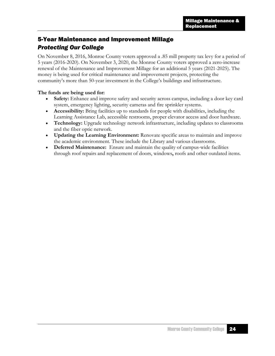### 5-Year Maintenance and Improvement Millage *Protecting Our College*

On November 8, 2016, Monroe County voters approved a .85 mill property tax levy for a period of 5 years (2016-2020). On November 3, 2020, the Monroe County voters approved a zero-increase renewal of the Maintenance and Improvement Millage for an additional 5 years (2021-2025). The money is being used for critical maintenance and improvement projects, protecting the community's more than 50-year investment in the College's buildings and infrastructure.

#### **The funds are being used for:**

- **Safety:** Enhance and improve safety and security across campus, including a door key card system, emergency lighting, security cameras and fire sprinkler systems.
- **Accessibility:** Bring facilities up to standards for people with disabilities, including the Learning Assistance Lab, accessible restrooms, proper elevator access and door hardware.
- **Technology:** Upgrade technology network infrastructure, including updates to classrooms and the fiber optic network.
- **Updating the Learning Environment:** Renovate specific areas to maintain and improve the academic environment. These include the Library and various classrooms.
- **Deferred Maintenance:** Ensure and maintain the quality of campus-wide facilities through roof repairs and replacement of doors, windows**,** roofs and other outdated items.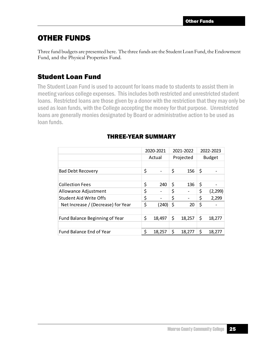### OTHER FUNDS

Three fund budgets are presented here. The three funds are the Student Loan Fund, the Endowment Fund, and the Physical Properties Fund.

### Student Loan Fund

The Student Loan Fund is used to account for loans made to students to assist them in meeting various college expenses. This includes both restricted and unrestricted student loans. Restricted loans are those given by a donor with the restriction that they may only be used as loan funds, with the College accepting the money for that purpose. Unrestricted loans are generally monies designated by Board or administrative action to be used as loan funds.

|                                    | 2020-2021    |           | 2021-2022 |               | 2022-2023 |  |
|------------------------------------|--------------|-----------|-----------|---------------|-----------|--|
|                                    | Actual       | Projected |           | <b>Budget</b> |           |  |
|                                    |              |           |           |               |           |  |
| <b>Bad Debt Recovery</b>           | \$           | \$        | 156       | \$            |           |  |
|                                    |              |           |           |               |           |  |
| <b>Collection Fees</b>             | \$<br>240    | \$        | 136       | \$            |           |  |
| Allowance Adjustment               | \$           | \$        |           | \$            | (2, 299)  |  |
| <b>Student Aid Write Offs</b>      | \$           | \$        |           | \$            | 2,299     |  |
| Net Increase / (Decrease) for Year | \$<br>(240)  | \$        | 20        | \$            |           |  |
|                                    |              |           |           |               |           |  |
| Fund Balance Beginning of Year     | \$<br>18,497 | \$        | 18,257    | \$            | 18,277    |  |
|                                    |              |           |           |               |           |  |
| Fund Balance End of Year           | 18,257       | \$        | 18,277    | \$            | 18,277    |  |

#### THREE-YEAR SUMMARY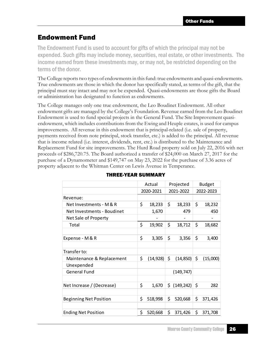### Endowment Fund

The Endowment Fund is used to account for gifts of which the principal may not be expended. Such gifts may include money, securities, real estate, or other investments. The income earned from these investments may, or may not, be restricted depending on the terms of the donor.

The College reports two types of endowments in this fund: true endowments and quasi-endowments. True endowments are those in which the donor has specifically stated, as terms of the gift, that the principal must stay intact and may not be expended. Quasi-endowments are those gifts the Board or administration has designated to function as endowments.

The College manages only one true endowment, the Leo Boudinet Endowment. All other endowment gifts are managed by the College's Foundation. Revenue earned from the Leo Boudinet Endowment is used to fund special projects in the General Fund. The Site Improvement quasiendowment, which includes contributions from the Ewing and Heuple estates, is used for campus improvements. All revenue in this endowment that is principal-related (i.e. sale of property, payments received from note principal, stock transfer, etc.) is added to the principal. All revenue that is income related (i.e. interest, dividends, rent, etc.) is distributed to the Maintenance and Replacement Fund for site improvements. The Hurd Road property sold on July 22, 2016 with net proceeds of \$286,720.75. The Board authorized a transfer of \$24,000 on March 27, 2017 for the purchase of a Dynamometer and \$149,747 on May 23, 2022 for the purchase of 3.36 acres of property adjacent to the Whitman Center on Lewis Avenue in Temperance.

|                               | Actual          |     | Projected  | <b>Budget</b>  |
|-------------------------------|-----------------|-----|------------|----------------|
|                               | 2020-2021       |     | 2021-2022  | 2022-2023      |
| Revenue:                      |                 |     |            |                |
| Net Investments - M & R       | \$<br>18,233    | \$  | 18,233     | \$<br>18,232   |
| Net Investments - Boudinet    | 1,670           |     | 479        | 450            |
| Net Sale of Property          |                 |     |            |                |
| Total                         | \$<br>19,902    | \$  | 18,712     | \$<br>18,682   |
|                               |                 |     |            |                |
| Expense - M & R               | \$<br>3,305     | \$  | 3,356      | \$<br>3,400    |
|                               |                 |     |            |                |
| Transfer to:                  |                 |     |            |                |
| Maintenance & Replacement     | \$<br>(14, 928) | \$  | (14, 850)  | \$<br>(15,000) |
| Unexpended                    |                 |     |            |                |
| <b>General Fund</b>           |                 |     | (149, 747) |                |
|                               |                 |     |            |                |
| Net Increase / (Decrease)     | \$<br>1,670     | \$. | (149, 242) | \$<br>282      |
|                               |                 |     |            |                |
| <b>Beginning Net Position</b> | \$<br>518,998   | \$  | 520,668    | \$<br>371,426  |
|                               |                 |     |            |                |
| <b>Ending Net Position</b>    | \$<br>520,668   | \$  | 371,426    | \$<br>371,708  |

#### THREE-YEAR SUMMARY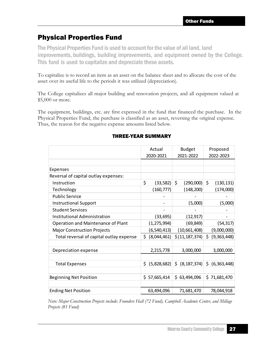### Physical Properties Fund

The Physical Properties Fund is used to account for the value of all land, land improvements, buildings, building improvements, and equipment owned by the College. This fund is used to capitalize and depreciate these assets.

To capitalize is to record an item as an asset on the balance sheet and to allocate the cost of the asset over its useful life to the periods it was utilized (depreciation).

The College capitalizes all major building and renovation projects, and all equipment valued at \$5,000 or more.

The equipment, buildings, etc. are first expensed in the fund that financed the purchase. In the Physical Properties Fund, the purchase is classified as an asset, reversing the original expense. Thus, the reason for the negative expense amounts listed below.

|                                          | Actual            | <b>Budget</b>        | Proposed             |
|------------------------------------------|-------------------|----------------------|----------------------|
|                                          | 2020-2021         | 2021-2022            | 2022-2023            |
|                                          |                   |                      |                      |
| Expenses                                 |                   |                      |                      |
| Reversal of capital outlay expenses:     |                   |                      |                      |
| Instruction                              | \$<br>(33, 582)   | \$<br>(290,000)      | \$<br>(130, 131)     |
| Technology                               | (160, 777)        | (148, 200)           | (174,000)            |
| <b>Public Service</b>                    |                   |                      |                      |
| <b>Instructional Support</b>             |                   | (5,000)              | (5,000)              |
| <b>Student Services</b>                  |                   |                      |                      |
| Institutional Administration             | (33, 695)         | (12, 917)            |                      |
| Operation and Maintenance of Plant       | (1, 275, 994)     | (69, 849)            | (54, 317)            |
| <b>Major Construction Projects</b>       | (6, 540, 413)     | (10,661,408)         | (9,000,000)          |
| Total reversal of capital outlay expense | \$<br>(8,044,461) | \$(11, 187, 374)     | \$.<br>(9,363,448)   |
|                                          |                   |                      |                      |
| Depreciation expense                     | 2,215,778         | 3,000,000            | 3,000,000            |
|                                          |                   |                      |                      |
| <b>Total Expenses</b>                    | (5,828,682)<br>\$ | (8, 187, 374)<br>\$. | (6, 363, 448)<br>\$. |
|                                          |                   |                      |                      |
| <b>Beginning Net Position</b>            | \$57,665,414      | \$63,494,096         | \$71,681,470         |
|                                          |                   |                      |                      |
| <b>Ending Net Position</b>               | 63,494,096        | 71,681,470           | 78,044,918           |

#### THREE-YEAR SUMMARY

*Note: Major Construction Projects include: Founders Hall (72 Fund), Campbell Academic Center, and Millage Projects (81 Fund)*